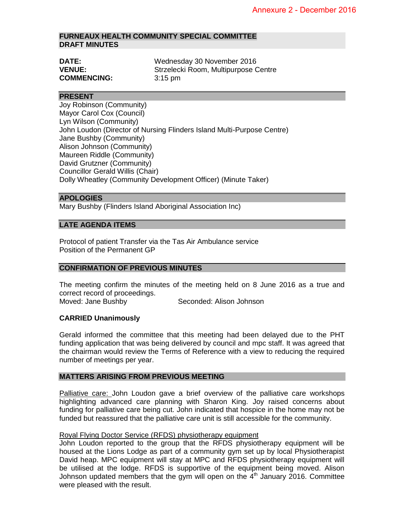## **FURNEAUX HEALTH COMMUNITY SPECIAL COMMITTEE DRAFT MINUTES**

| <b>DATE:</b>       | Wednesday 30 November 2016           |
|--------------------|--------------------------------------|
| <b>VENUE:</b>      | Strzelecki Room, Multipurpose Centre |
| <b>COMMENCING:</b> | $3:15$ pm                            |

## **PRESENT**

Joy Robinson (Community) Mayor Carol Cox (Council) Lyn Wilson (Community) John Loudon (Director of Nursing Flinders Island Multi-Purpose Centre) Jane Bushby (Community) Alison Johnson (Community) Maureen Riddle (Community) David Grutzner (Community) Councillor Gerald Willis (Chair) Dolly Wheatley (Community Development Officer) (Minute Taker)

# **APOLOGIES**

Mary Bushby (Flinders Island Aboriginal Association Inc)

## **LATE AGENDA ITEMS**

Protocol of patient Transfer via the Tas Air Ambulance service Position of the Permanent GP

## **CONFIRMATION OF PREVIOUS MINUTES**

The meeting confirm the minutes of the meeting held on 8 June 2016 as a true and correct record of proceedings.

Moved: Jane Bushby Seconded: Alison Johnson

### **CARRIED Unanimously**

Gerald informed the committee that this meeting had been delayed due to the PHT funding application that was being delivered by council and mpc staff. It was agreed that the chairman would review the Terms of Reference with a view to reducing the required number of meetings per year.

### **MATTERS ARISING FROM PREVIOUS MEETING**

Palliative care: John Loudon gave a brief overview of the palliative care workshops highlighting advanced care planning with Sharon King. Joy raised concerns about funding for palliative care being cut. John indicated that hospice in the home may not be funded but reassured that the palliative care unit is still accessible for the community.

## Royal Flying Doctor Service (RFDS) physiotherapy equipment

John Loudon reported to the group that the RFDS physiotherapy equipment will be housed at the Lions Lodge as part of a community gym set up by local Physiotherapist David heap. MPC equipment will stay at MPC and RFDS physiotherapy equipment will be utilised at the lodge. RFDS is supportive of the equipment being moved. Alison Johnson updated members that the gym will open on the  $4<sup>th</sup>$  January 2016. Committee were pleased with the result.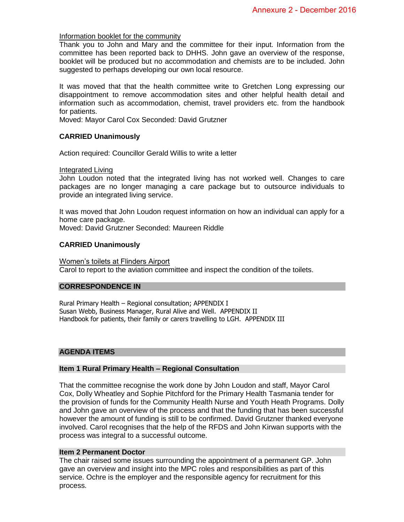### Information booklet for the community

Thank you to John and Mary and the committee for their input. Information from the committee has been reported back to DHHS. John gave an overview of the response, booklet will be produced but no accommodation and chemists are to be included. John suggested to perhaps developing our own local resource.

It was moved that that the health committee write to Gretchen Long expressing our disappointment to remove accommodation sites and other helpful health detail and information such as accommodation, chemist, travel providers etc. from the handbook for patients.

Moved: Mayor Carol Cox Seconded: David Grutzner

### **CARRIED Unanimously**

Action required: Councillor Gerald Willis to write a letter

### Integrated Living

John Loudon noted that the integrated living has not worked well. Changes to care packages are no longer managing a care package but to outsource individuals to provide an integrated living service.

It was moved that John Loudon request information on how an individual can apply for a home care package.

Moved: David Grutzner Seconded: Maureen Riddle

### **CARRIED Unanimously**

Women's toilets at Flinders Airport Carol to report to the aviation committee and inspect the condition of the toilets.

## **CORRESPONDENCE IN**

Rural Primary Health – Regional consultation; APPENDIX I Susan Webb, Business Manager, Rural Alive and Well. APPENDIX II Handbook for patients, their family or carers travelling to LGH. APPENDIX III

### **AGENDA ITEMS**

#### **Item 1 Rural Primary Health – Regional Consultation**

That the committee recognise the work done by John Loudon and staff, Mayor Carol Cox, Dolly Wheatley and Sophie Pitchford for the Primary Health Tasmania tender for the provision of funds for the Community Health Nurse and Youth Heath Programs. Dolly and John gave an overview of the process and that the funding that has been successful however the amount of funding is still to be confirmed. David Grutzner thanked everyone involved. Carol recognises that the help of the RFDS and John Kirwan supports with the process was integral to a successful outcome.

#### **Item 2 Permanent Doctor**

The chair raised some issues surrounding the appointment of a permanent GP. John gave an overview and insight into the MPC roles and responsibilities as part of this service. Ochre is the employer and the responsible agency for recruitment for this process.